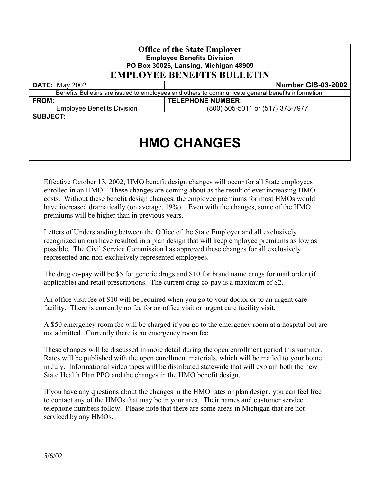| <b>Office of the State Employer</b><br><b>Employee Benefits Division</b><br>PO Box 30026, Lansing, Michigan 48909<br><b>EMPLOYEE BENEFITS BULLETIN</b> |                                  |  |
|--------------------------------------------------------------------------------------------------------------------------------------------------------|----------------------------------|--|
| <b>DATE:</b> May 2002                                                                                                                                  | Number GIS-03-2002               |  |
| Benefits Bulletins are issued to employees and others to communicate general benefits information.                                                     |                                  |  |
| <b>FROM:</b>                                                                                                                                           | <b>TELEPHONE NUMBER:</b>         |  |
| <b>Employee Benefits Division</b>                                                                                                                      | (800) 505-5011 or (517) 373-7977 |  |
| <b>SUBJECT:</b>                                                                                                                                        |                                  |  |
| <b>HMO CHANGES</b>                                                                                                                                     |                                  |  |

Effective October 13, 2002, HMO benefit design changes will occur for all State employees enrolled in an HMO. These changes are coming about as the result of ever increasing HMO costs. Without these benefit design changes, the employee premiums for most HMOs would have increased dramatically (on average, 19%). Even with the changes, some of the HMO premiums will be higher than in previous years.

Letters of Understanding between the Office of the State Employer and all exclusively recognized unions have resulted in a plan design that will keep employee premiums as low as possible. The Civil Service Commission has approved these changes for all exclusively represented and non-exclusively represented employees.

The drug co-pay will be \$5 for generic drugs and \$10 for brand name drugs for mail order (if applicable) and retail prescriptions. The current drug co-pay is a maximum of \$2.

An office visit fee of \$10 will be required when you go to your doctor or to an urgent care facility. There is currently no fee for an office visit or urgent care facility visit.

A \$50 emergency room fee will be charged if you go to the emergency room at a hospital but are not admitted. Currently there is no emergency room fee.

These changes will be discussed in more detail during the open enrollment period this summer. Rates will be published with the open enrollment materials, which will be mailed to your home in July. Informational video tapes will be distributed statewide that will explain both the new State Health Plan PPO and the changes in the HMO benefit design.

If you have any questions about the changes in the HMO rates or plan design, you can feel free to contact any of the HMOs that may be in your area. Their names and customer service telephone numbers follow. Please note that there are some areas in Michigan that are not serviced by any HMOs.